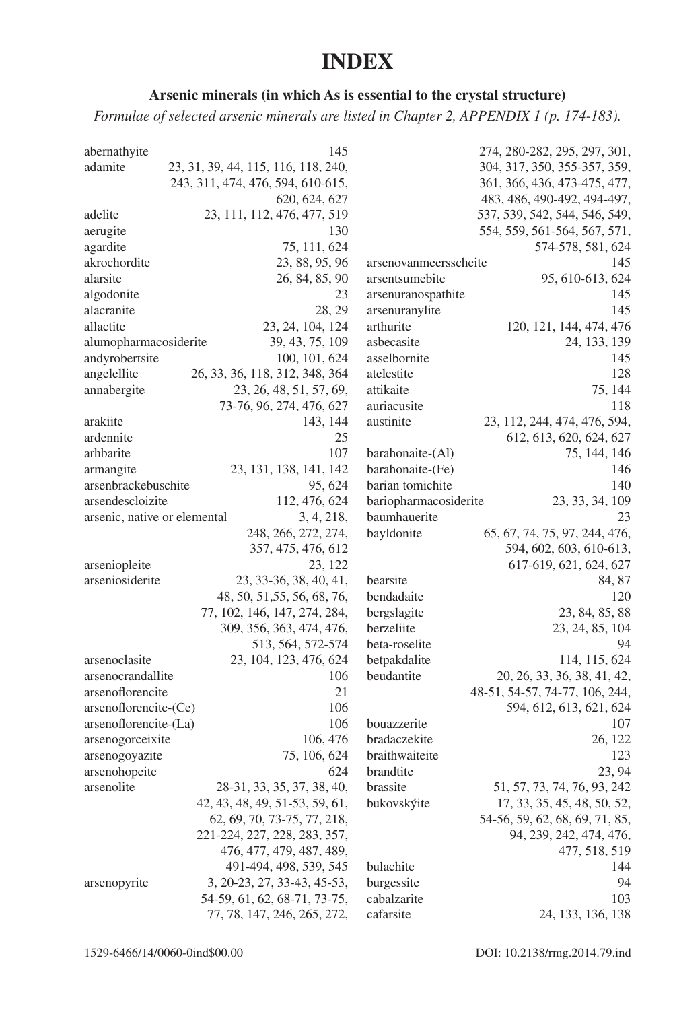## **INDEX**

## Arsenic minerals (in which As is essential to the crystal structure)

Formulae of selected arsenic minerals are listed in Chapter 2, APPENDIX 1 (p. 174-183).

| abernathyite                 | 145                                 |                       | 274, 280-282, 295, 297, 301,   |
|------------------------------|-------------------------------------|-----------------------|--------------------------------|
| adamite                      | 23, 31, 39, 44, 115, 116, 118, 240, |                       | 304, 317, 350, 355-357, 359,   |
|                              | 243, 311, 474, 476, 594, 610-615,   |                       | 361, 366, 436, 473-475, 477,   |
|                              | 620, 624, 627                       |                       | 483, 486, 490-492, 494-497,    |
| adelite                      | 23, 111, 112, 476, 477, 519         |                       | 537, 539, 542, 544, 546, 549,  |
| aerugite                     | 130                                 |                       | 554, 559, 561-564, 567, 571,   |
| agardite                     | 75, 111, 624                        |                       | 574-578, 581, 624              |
| akrochordite                 | 23, 88, 95, 96                      | arsenovanmeersscheite | 145                            |
| alarsite                     | 26, 84, 85, 90                      | arsentsumebite        | 95, 610-613, 624               |
| algodonite                   | 23                                  | arsenuranospathite    | 145                            |
| alacranite                   | 28.29                               | arsenuranylite        | 145                            |
| allactite                    | 23, 24, 104, 124                    | arthurite             | 120, 121, 144, 474, 476        |
| alumopharmacosiderite        | 39, 43, 75, 109                     | asbecasite            | 24, 133, 139                   |
| andyrobertsite               | 100, 101, 624                       | asselbornite          | 145                            |
| angelellite                  | 26, 33, 36, 118, 312, 348, 364      | atelestite            | 128                            |
| annabergite                  | 23, 26, 48, 51, 57, 69,             | attikaite             | 75, 144                        |
|                              | 73-76, 96, 274, 476, 627            | auriacusite           | 118                            |
| arakiite                     | 143, 144                            | austinite             | 23, 112, 244, 474, 476, 594,   |
| ardennite                    | 25                                  |                       | 612, 613, 620, 624, 627        |
| arhbarite                    | 107                                 | barahonaite-(Al)      | 75, 144, 146                   |
| armangite                    | 23, 131, 138, 141, 142              | barahonaite-(Fe)      | 146                            |
| arsenbrackebuschite          | 95, 624                             | barian tomichite      | 140                            |
| arsendescloizite             | 112, 476, 624                       | bariopharmacosiderite | 23, 33, 34, 109                |
| arsenic, native or elemental | 3, 4, 218,                          | baumhauerite          | 23                             |
|                              | 248, 266, 272, 274,                 | bayldonite            | 65, 67, 74, 75, 97, 244, 476,  |
|                              | 357, 475, 476, 612                  |                       | 594, 602, 603, 610-613,        |
| arseniopleite                | 23, 122                             |                       | 617-619, 621, 624, 627         |
| arseniosiderite              | 23, 33-36, 38, 40, 41,              | bearsite              | 84, 87                         |
|                              | 48, 50, 51, 55, 56, 68, 76,         | bendadaite            | 120                            |
|                              | 77, 102, 146, 147, 274, 284,        | bergslagite           | 23, 84, 85, 88                 |
|                              | 309, 356, 363, 474, 476,            | berzeliite            | 23, 24, 85, 104                |
|                              | 513, 564, 572-574                   | beta-roselite         | 94                             |
| arsenoclasite                | 23, 104, 123, 476, 624              | betpakdalite          | 114, 115, 624                  |
| arsenocrandallite            | 106                                 | beudantite            | 20, 26, 33, 36, 38, 41, 42,    |
| arsenoflorencite             | 21                                  |                       | 48-51, 54-57, 74-77, 106, 244, |
| arsenoflorencite-(Ce)        | 106                                 |                       | 594, 612, 613, 621, 624        |
| arsenoflorencite-(La)        | 106                                 | bouazzerite           | 107                            |
| arsenogorceixite             | 106, 476                            | bradaczekite          | 26, 122                        |
| arsenogoyazite               | 75, 106, 624                        | braithwaiteite        | 123                            |
| arsenohopeite                | 624                                 | brandtite             | 23, 94                         |
| arsenolite                   | 28-31, 33, 35, 37, 38, 40,          | brassite              | 51, 57, 73, 74, 76, 93, 242    |
|                              | 42, 43, 48, 49, 51-53, 59, 61,      | bukovskýite           | 17, 33, 35, 45, 48, 50, 52,    |
|                              | 62, 69, 70, 73-75, 77, 218,         |                       | 54-56, 59, 62, 68, 69, 71, 85, |
|                              | 221-224, 227, 228, 283, 357,        |                       | 94, 239, 242, 474, 476,        |
|                              | 476, 477, 479, 487, 489,            |                       | 477, 518, 519                  |
|                              | 491-494, 498, 539, 545              | bulachite             | 144                            |
| arsenopyrite                 | 3, 20-23, 27, 33-43, 45-53,         | burgessite            | 94                             |
|                              | 54-59, 61, 62, 68-71, 73-75,        | cabalzarite           | 103                            |
|                              | 77, 78, 147, 246, 265, 272,         | cafarsite             | 24, 133, 136, 138              |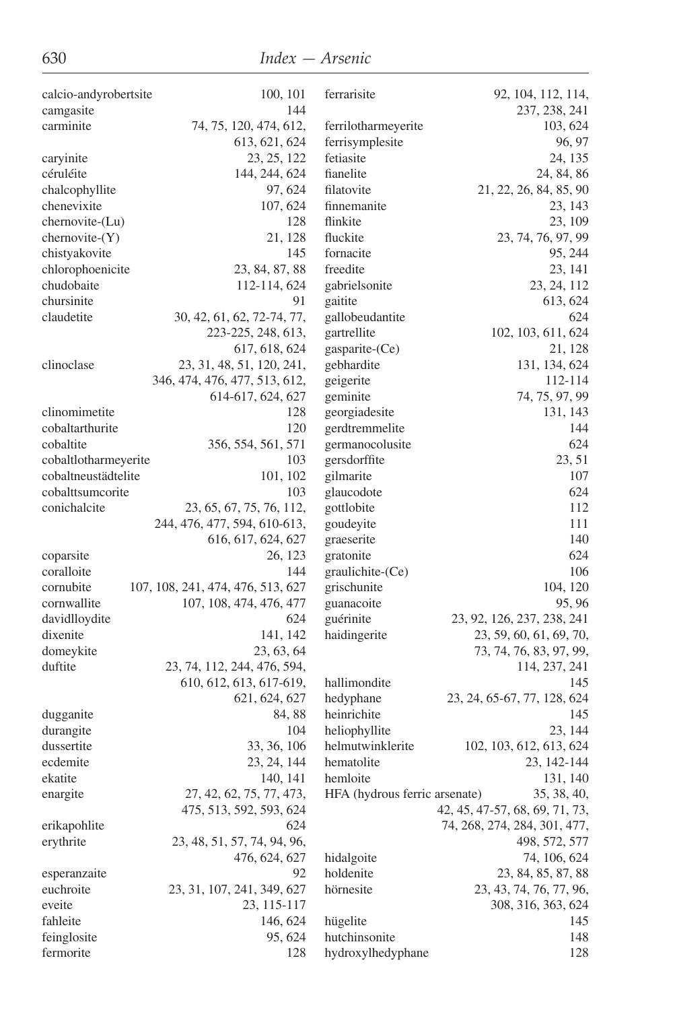| calcio-andyrobertsite | 100, 101                          | ferrarisite                   | 92, 104, 112, 114,             |
|-----------------------|-----------------------------------|-------------------------------|--------------------------------|
| camgasite             | 144                               |                               | 237, 238, 241                  |
| carminite             | 74, 75, 120, 474, 612,            | ferrilotharmeyerite           | 103, 624                       |
|                       | 613, 621, 624                     | ferrisymplesite               | 96, 97                         |
| caryinite             | 23, 25, 122                       | fetiasite                     | 24, 135                        |
| céruléite             | 144, 244, 624                     | fianelite                     | 24, 84, 86                     |
| chalcophyllite        | 97, 624                           | filatovite                    | 21, 22, 26, 84, 85, 90         |
| chenevixite           | 107, 624                          | finnemanite                   | 23, 143                        |
| $chernovite-Lu)$      | 128                               | flinkite                      | 23, 109                        |
| $chernovite-(Y)$      | 21, 128                           | fluckite                      | 23, 74, 76, 97, 99             |
| chistyakovite         | 145                               | fornacite                     | 95, 244                        |
| chlorophoenicite      | 23, 84, 87, 88                    | freedite                      | 23, 141                        |
| chudobaite            | 112-114, 624                      | gabrielsonite                 | 23, 24, 112                    |
| chursinite            | 91                                | gaitite                       | 613, 624                       |
| claudetite            | 30, 42, 61, 62, 72-74, 77,        | gallobeudantite               | 624                            |
|                       | 223-225, 248, 613,                | gartrellite                   | 102, 103, 611, 624             |
|                       | 617, 618, 624                     | gasparite-(Ce)                | 21, 128                        |
| clinoclase            | 23, 31, 48, 51, 120, 241,         | gebhardite                    | 131, 134, 624                  |
|                       | 346, 474, 476, 477, 513, 612,     | geigerite                     | 112-114                        |
|                       | 614-617, 624, 627                 | geminite                      | 74, 75, 97, 99                 |
| clinomimetite         | 128                               | georgiadesite                 | 131, 143                       |
| cobaltarthurite       | 120                               | gerdtremmelite                | 144                            |
| cobaltite             | 356, 554, 561, 571                | germanocolusite               | 624                            |
| cobaltlotharmeyerite  | 103                               | gersdorffite                  | 23, 51                         |
| cobaltneustädtelite   | 101, 102                          | gilmarite                     | 107                            |
| cobalttsumcorite      | 103                               | glaucodote                    | 624                            |
| conichalcite          | 23, 65, 67, 75, 76, 112,          | gottlobite                    | 112                            |
|                       | 244, 476, 477, 594, 610-613,      | goudeyite                     | 111                            |
|                       | 616, 617, 624, 627                | graeserite                    | 140                            |
| coparsite             | 26, 123                           | gratonite                     | 624                            |
| coralloite            | 144                               | graulichite-(Ce)              | 106                            |
| cornubite             | 107, 108, 241, 474, 476, 513, 627 | grischunite                   | 104, 120                       |
| cornwallite           | 107, 108, 474, 476, 477           | guanacoite                    | 95, 96                         |
| davidlloydite         | 624                               | guérinite                     | 23, 92, 126, 237, 238, 241     |
| dixenite              | 141, 142                          | haidingerite                  | 23, 59, 60, 61, 69, 70,        |
| domeykite             | 23, 63, 64                        |                               | 73, 74, 76, 83, 97, 99,        |
| duftite               | 23, 74, 112, 244, 476, 594,       |                               | 114, 237, 241                  |
|                       | 610, 612, 613, 617-619,           | hallimondite                  | 145                            |
|                       | 621, 624, 627                     | hedyphane                     | 23, 24, 65-67, 77, 128, 624    |
| dugganite             | 84, 88                            | heinrichite                   | 145                            |
| durangite             | 104                               | heliophyllite                 | 23, 144                        |
| dussertite            | 33, 36, 106                       | helmutwinklerite              | 102, 103, 612, 613, 624        |
| ecdemite              | 23, 24, 144                       | hematolite                    | 23, 142-144                    |
| ekatite               | 140, 141                          | hemloite                      | 131, 140                       |
| enargite              | 27, 42, 62, 75, 77, 473,          | HFA (hydrous ferric arsenate) | 35, 38, 40,                    |
|                       | 475, 513, 592, 593, 624           |                               | 42, 45, 47-57, 68, 69, 71, 73, |
| erikapohlite          | 624                               |                               | 74, 268, 274, 284, 301, 477,   |
| erythrite             | 23, 48, 51, 57, 74, 94, 96,       |                               | 498, 572, 577                  |
|                       | 476, 624, 627                     | hidalgoite                    | 74, 106, 624                   |
| esperanzaite          | 92                                | holdenite                     | 23, 84, 85, 87, 88             |
| euchroite             | 23, 31, 107, 241, 349, 627        | hörnesite                     | 23, 43, 74, 76, 77, 96,        |
| eveite                | 23, 115-117                       |                               | 308, 316, 363, 624             |
| fahleite              | 146, 624                          | hügelite                      | 145                            |
| feinglosite           | 95, 624                           | hutchinsonite                 | 148                            |
| fermorite             | 128                               | hydroxylhedyphane             | 128                            |
|                       |                                   |                               |                                |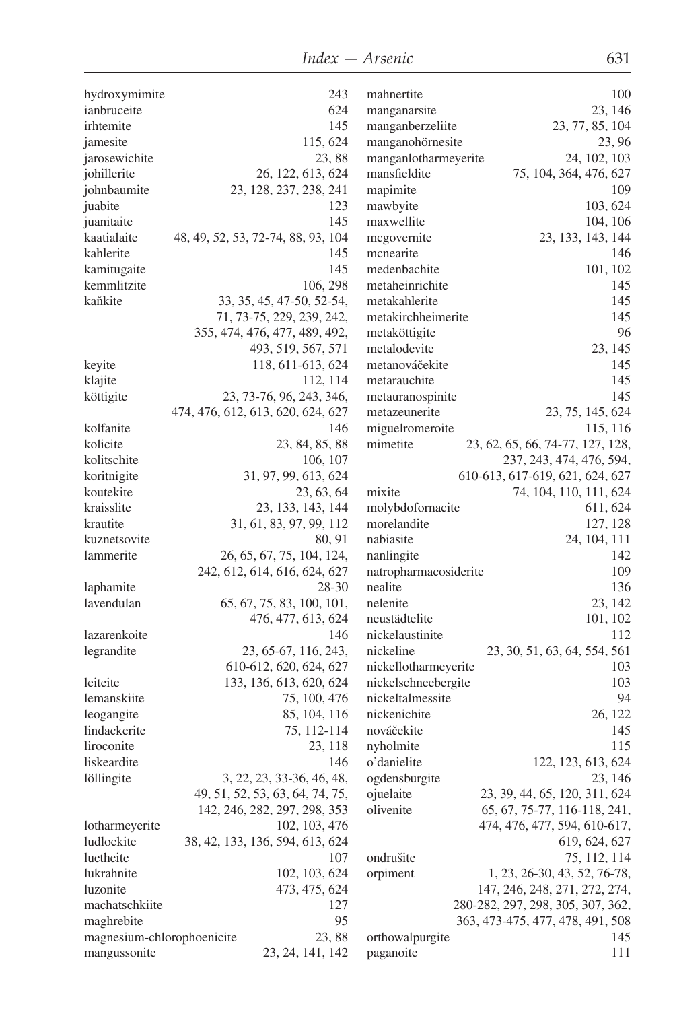| hydroxymimite              | 243                                | mahnertite            | 100                               |
|----------------------------|------------------------------------|-----------------------|-----------------------------------|
| ianbruceite                | 624                                | manganarsite          | 23, 146                           |
| irhtemite                  | 145                                | manganberzeliite      | 23, 77, 85, 104                   |
| jamesite                   | 115, 624                           | manganohörnesite      | 23,96                             |
| jarosewichite              | 23,88                              | manganlotharmeyerite  | 24, 102, 103                      |
| johillerite                | 26, 122, 613, 624                  | mansfieldite          | 75, 104, 364, 476, 627            |
| johnbaumite                | 23, 128, 237, 238, 241             | mapimite              | 109                               |
| juabite                    | 123                                | mawbyite              | 103, 624                          |
| juanitaite                 | 145                                | maxwellite            | 104, 106                          |
| kaatialaite                | 48, 49, 52, 53, 72-74, 88, 93, 104 | mcgovernite           | 23, 133, 143, 144                 |
| kahlerite                  | 145                                | mcnearite             | 146                               |
| kamitugaite                | 145                                | medenbachite          | 101, 102                          |
| kemmlitzite                | 106, 298                           | metaheinrichite       | 145                               |
| kaňkite                    | 33, 35, 45, 47-50, 52-54,          | metakahlerite         | 145                               |
|                            | 71, 73-75, 229, 239, 242,          | metakirchheimerite    | 145                               |
|                            | 355, 474, 476, 477, 489, 492,      | metaköttigite         | 96                                |
|                            | 493, 519, 567, 571                 | metalodevite          | 23, 145                           |
| keyite                     | 118, 611-613, 624                  | metanováčekite        | 145                               |
| klajite                    | 112, 114                           | metarauchite          | 145                               |
| köttigite                  | 23, 73-76, 96, 243, 346,           | metauranospinite      | 145                               |
|                            | 474, 476, 612, 613, 620, 624, 627  | metazeunerite         | 23, 75, 145, 624                  |
| kolfanite                  | 146                                | miguelromeroite       | 115, 116                          |
| kolicite                   | 23, 84, 85, 88                     | mimetite              | 23, 62, 65, 66, 74-77, 127, 128,  |
| kolitschite                | 106, 107                           |                       | 237, 243, 474, 476, 594,          |
| koritnigite                | 31, 97, 99, 613, 624               |                       | 610-613, 617-619, 621, 624, 627   |
| koutekite                  | 23, 63, 64                         | mixite                | 74, 104, 110, 111, 624            |
| kraisslite                 | 23, 133, 143, 144                  | molybdofornacite      | 611, 624                          |
| krautite                   | 31, 61, 83, 97, 99, 112            | morelandite           | 127, 128                          |
| kuznetsovite               | 80, 91                             | nabiasite             | 24, 104, 111                      |
| lammerite                  | 26, 65, 67, 75, 104, 124,          | nanlingite            | 142                               |
|                            | 242, 612, 614, 616, 624, 627       | natropharmacosiderite | 109                               |
| laphamite                  | 28-30                              | nealite               | 136                               |
| lavendulan                 | 65, 67, 75, 83, 100, 101,          | nelenite              | 23, 142                           |
|                            | 476, 477, 613, 624                 | neustädtelite         | 101, 102                          |
| lazarenkoite               | 146                                | nickelaustinite       | 112                               |
| legrandite                 | 23, 65-67, 116, 243,               | nickeline             | 23, 30, 51, 63, 64, 554, 561      |
|                            | 610-612, 620, 624, 627             | nickellotharmeyerite  | 103                               |
| leiteite                   | 133, 136, 613, 620, 624            | nickelschneebergite   | 103                               |
| lemanskiite                | 75, 100, 476                       | nickeltalmessite      | 94                                |
| leogangite                 | 85, 104, 116                       | nickenichite          | 26, 122                           |
| lindackerite               | 75, 112-114                        | nováčekite            | 145                               |
| liroconite                 | 23, 118                            | nyholmite             | 115                               |
| liskeardite                | 146                                | o'danielite           | 122, 123, 613, 624                |
| löllingite                 | 3, 22, 23, 33-36, 46, 48,          | ogdensburgite         | 23, 146                           |
|                            | 49, 51, 52, 53, 63, 64, 74, 75,    | ojuelaite             | 23, 39, 44, 65, 120, 311, 624     |
|                            | 142, 246, 282, 297, 298, 353       | olivenite             | 65, 67, 75-77, 116-118, 241,      |
| lotharmeyerite             | 102, 103, 476                      |                       | 474, 476, 477, 594, 610-617,      |
| ludlockite                 | 38, 42, 133, 136, 594, 613, 624    |                       | 619, 624, 627                     |
| luetheite                  | 107                                | ondrušite             | 75, 112, 114                      |
| lukrahnite                 | 102, 103, 624                      | orpiment              | 1, 23, 26-30, 43, 52, 76-78,      |
| luzonite                   | 473, 475, 624                      |                       | 147, 246, 248, 271, 272, 274,     |
| machatschkiite             | 127                                |                       | 280-282, 297, 298, 305, 307, 362, |
| maghrebite                 | 95                                 |                       | 363, 473-475, 477, 478, 491, 508  |
| magnesium-chlorophoenicite | 23,88                              | orthowalpurgite       | 145                               |
| mangussonite               | 23, 24, 141, 142                   | paganoite             | 111                               |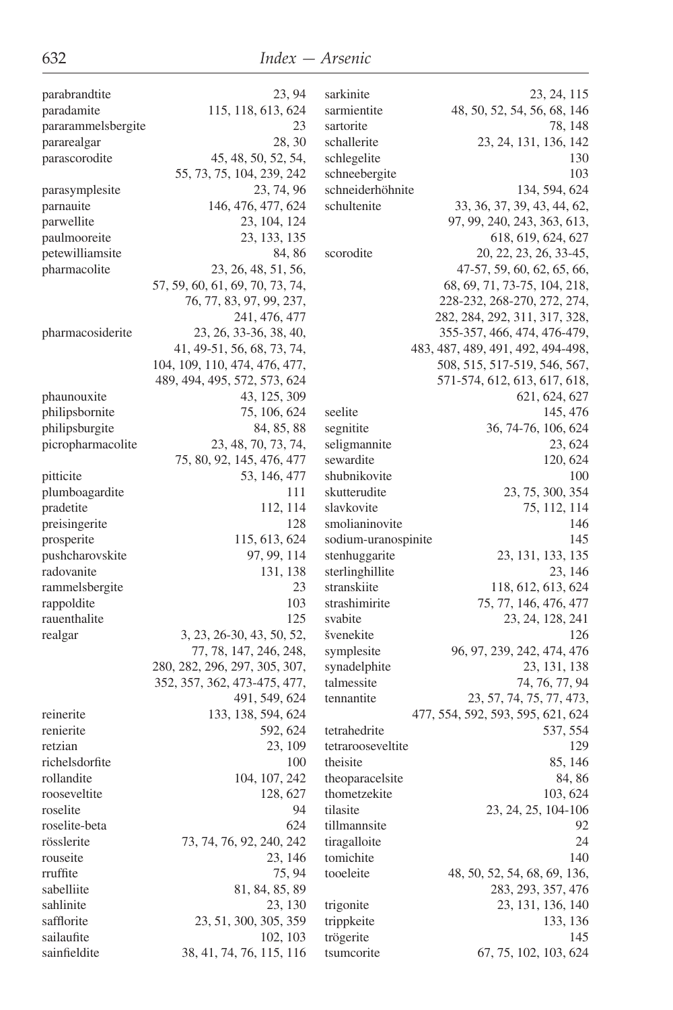| parabrandtite               | 23, 94                          | sarkinite                      | 23, 24, 115                       |
|-----------------------------|---------------------------------|--------------------------------|-----------------------------------|
| paradamite                  | 115, 118, 613, 624              | sarmientite                    | 48, 50, 52, 54, 56, 68, 146       |
| pararammelsbergite          | 23                              | sartorite                      | 78, 148                           |
| pararealgar                 | 28, 30                          | schallerite                    | 23, 24, 131, 136, 142             |
| parascorodite               | 45, 48, 50, 52, 54,             | schlegelite                    | 130                               |
|                             | 55, 73, 75, 104, 239, 242       | schneebergite                  | 103                               |
| parasymplesite              | 23, 74, 96                      | schneiderhöhnite               | 134, 594, 624                     |
| parnauite                   | 146, 476, 477, 624              | schultenite                    | 33, 36, 37, 39, 43, 44, 62,       |
| parwellite                  | 23, 104, 124                    |                                | 97, 99, 240, 243, 363, 613,       |
| paulmooreite                | 23, 133, 135                    |                                | 618, 619, 624, 627                |
| petewilliamsite             | 84, 86                          | scorodite                      | 20, 22, 23, 26, 33-45,            |
| pharmacolite                | 23, 26, 48, 51, 56,             |                                | 47-57, 59, 60, 62, 65, 66,        |
|                             | 57, 59, 60, 61, 69, 70, 73, 74, |                                | 68, 69, 71, 73-75, 104, 218,      |
|                             | 76, 77, 83, 97, 99, 237,        |                                | 228-232, 268-270, 272, 274,       |
|                             | 241, 476, 477                   |                                | 282, 284, 292, 311, 317, 328,     |
| pharmacosiderite            | 23, 26, 33-36, 38, 40,          |                                | 355-357, 466, 474, 476-479,       |
|                             | 41, 49-51, 56, 68, 73, 74,      |                                | 483, 487, 489, 491, 492, 494-498, |
|                             | 104, 109, 110, 474, 476, 477,   |                                | 508, 515, 517-519, 546, 567,      |
|                             | 489, 494, 495, 572, 573, 624    |                                | 571-574, 612, 613, 617, 618,      |
| phaunouxite                 | 43, 125, 309                    |                                | 621, 624, 627                     |
| philipsbornite              | 75, 106, 624                    | seelite                        | 145, 476                          |
| philipsburgite              | 84, 85, 88                      | segnitite                      | 36, 74-76, 106, 624               |
| picropharmacolite           | 23, 48, 70, 73, 74,             | seligmannite                   | 23, 624                           |
|                             | 75, 80, 92, 145, 476, 477       | sewardite                      | 120, 624                          |
| pitticite                   | 53, 146, 477                    | shubnikovite                   | 100                               |
| plumboagardite              | 111                             | skutterudite                   | 23, 75, 300, 354                  |
| pradetite                   | 112, 114                        | slavkovite                     | 75, 112, 114                      |
|                             | 128                             | smolianinovite                 | 146                               |
| preisingerite<br>prosperite | 115, 613, 624                   | sodium-uranospinite            | 145                               |
| pushcharovskite             | 97, 99, 114                     | stenhuggarite                  | 23, 131, 133, 135                 |
| radovanite                  |                                 |                                |                                   |
|                             | 131, 138<br>23                  | sterlinghillite<br>stranskiite | 23, 146                           |
| rammelsbergite              | 103                             | strashimirite                  | 118, 612, 613, 624                |
| rappoldite                  |                                 |                                | 75, 77, 146, 476, 477             |
| rauenthalite                | 125                             | svabite                        | 23, 24, 128, 241                  |
| realgar                     | 3, 23, 26-30, 43, 50, 52,       | švenekite                      | 126                               |
|                             | 77, 78, 147, 246, 248,          | symplesite                     | 96, 97, 239, 242, 474, 476        |
|                             | 280, 282, 296, 297, 305, 307,   | synadelphite                   | 23, 131, 138                      |
|                             | 352, 357, 362, 473-475, 477,    | talmessite                     | 74, 76, 77, 94                    |
|                             | 491, 549, 624                   | tennantite                     | 23, 57, 74, 75, 77, 473,          |
| reinerite                   | 133, 138, 594, 624              |                                | 477, 554, 592, 593, 595, 621, 624 |
| renierite                   | 592, 624                        | tetrahedrite                   | 537, 554                          |
| retzian                     | 23, 109                         | tetrarooseveltite              | 129                               |
| richelsdorfite              | 100                             | theisite                       | 85, 146                           |
| rollandite                  | 104, 107, 242                   | theoparacelsite                | 84, 86                            |
| rooseveltite                | 128, 627                        | thometzekite                   | 103, 624                          |
| roselite                    | 94                              | tilasite                       | 23, 24, 25, 104-106               |
| roselite-beta               | 624                             | tillmannsite                   | 92                                |
| rösslerite                  | 73, 74, 76, 92, 240, 242        | tiragalloite                   | 24                                |
| rouseite                    | 23, 146                         | tomichite                      | 140                               |
| rruffite                    | 75, 94                          | tooeleite                      | 48, 50, 52, 54, 68, 69, 136,      |
| sabelliite                  | 81, 84, 85, 89                  |                                | 283, 293, 357, 476                |
| sahlinite                   | 23, 130                         | trigonite                      | 23, 131, 136, 140                 |
| safflorite                  | 23, 51, 300, 305, 359           | trippkeite                     | 133, 136                          |
| sailaufite                  | 102, 103                        | trögerite                      | 145                               |
| sainfieldite                | 38, 41, 74, 76, 115, 116        | tsumcorite                     | 67, 75, 102, 103, 624             |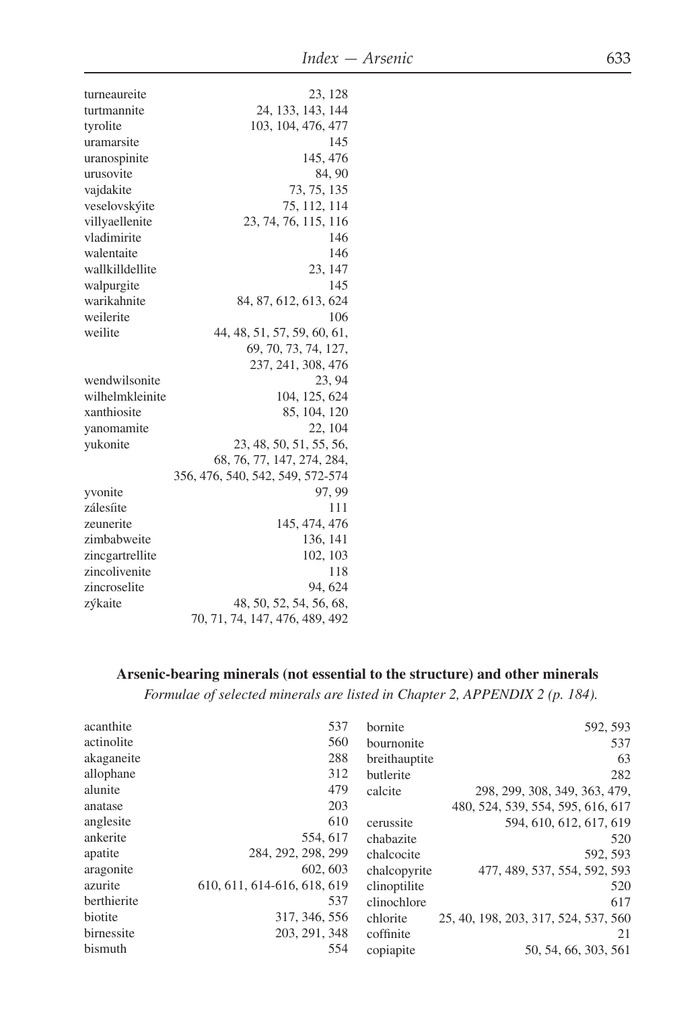| turneaureite    | 23, 128                          |
|-----------------|----------------------------------|
| turtmannite     | 24, 133, 143, 144                |
| tyrolite        | 103, 104, 476, 477               |
| uramarsite      | 145                              |
| uranospinite    | 145, 476                         |
| urusovite       | 84, 90                           |
| vajdakite       | 73, 75, 135                      |
| veselovskýite   | 75, 112, 114                     |
| villyaellenite  | 23, 74, 76, 115, 116             |
| vladimirite     | 146                              |
| walentaite      | 146                              |
| wallkilldellite | 23, 147                          |
| walpurgite      | 145                              |
| warikahnite     | 84, 87, 612, 613, 624            |
| weilerite       | 106                              |
| weilite         | 44, 48, 51, 57, 59, 60, 61,      |
|                 | 69, 70, 73, 74, 127,             |
|                 | 237, 241, 308, 476               |
| wendwilsonite   | 23.94                            |
| wilhelmkleinite | 104, 125, 624                    |
| xanthiosite     | 85, 104, 120                     |
| yanomamite      | 22, 104                          |
| yukonite        | 23, 48, 50, 51, 55, 56,          |
|                 | 68, 76, 77, 147, 274, 284,       |
|                 | 356, 476, 540, 542, 549, 572-574 |
| yvonite         | 97, 99                           |
| zálesíite       | 111                              |
| zeunerite       | 145, 474, 476                    |
| zimbabweite     | 136, 141                         |
| zincgartrellite | 102, 103                         |
| zincolivenite   | 118                              |
| zincroselite    | 94, 624                          |
| zýkaite         | 48, 50, 52, 54, 56, 68,          |
|                 | 70, 71, 74, 147, 476, 489, 492   |

## Arsenic-bearing minerals (not essential to the structure) and other minerals

Formulae of selected minerals are listed in Chapter 2, APPENDIX 2 (p. 184).

| acanthite   | 537                         | bornite       | 592, 593                             |
|-------------|-----------------------------|---------------|--------------------------------------|
| actinolite  | 560                         | bournonite    | 537                                  |
| akaganeite  | 288                         | breithauptite | 63                                   |
| allophane   | 312                         | butlerite     | 282                                  |
| alunite     | 479                         | calcite       | 298, 299, 308, 349, 363, 479,        |
| anatase     | 203                         |               | 480, 524, 539, 554, 595, 616, 617    |
| anglesite   | 610                         | cerussite     | 594, 610, 612, 617, 619              |
| ankerite    | 554, 617                    | chabazite     | 520                                  |
| apatite     | 284, 292, 298, 299          | chalcocite    | 592, 593                             |
| aragonite   | 602, 603                    | chalcopyrite  | 477, 489, 537, 554, 592, 593         |
| azurite     | 610, 611, 614-616, 618, 619 | clinoptilite  | 520                                  |
| berthierite | 537                         | clinochlore   | 617                                  |
| biotite     | 317, 346, 556               | chlorite      | 25, 40, 198, 203, 317, 524, 537, 560 |
| birnessite  | 203, 291, 348               | coffinite     | 21                                   |
| bismuth     | 554                         | copiapite     | 50, 54, 66, 303, 561                 |
|             |                             |               |                                      |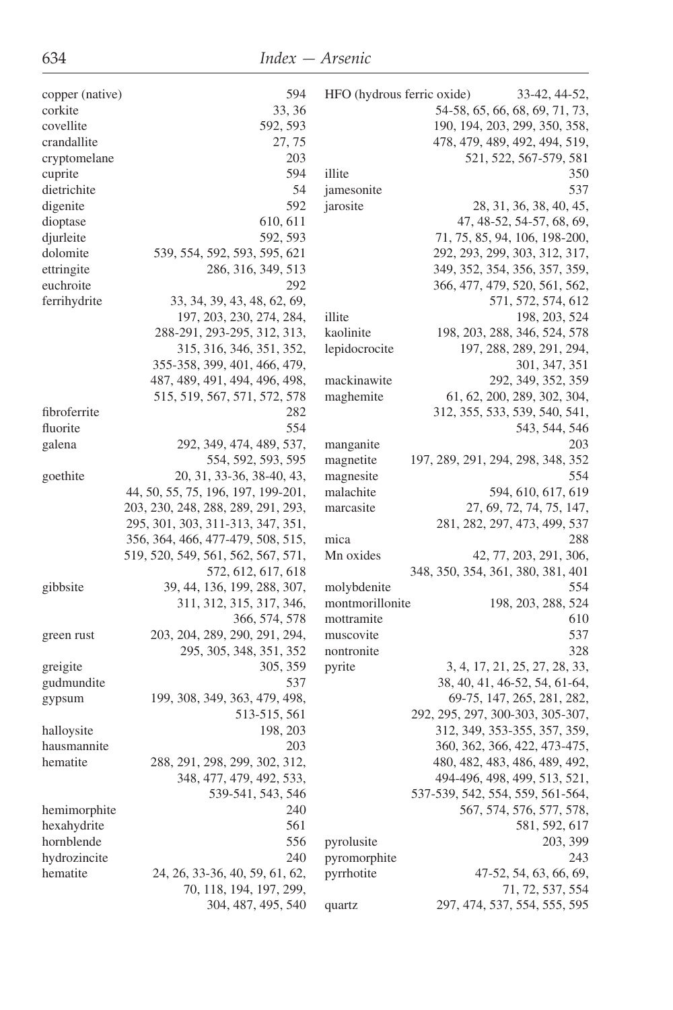| copper (native) | 594                                | HFO (hydrous ferric oxide) | 33-42, 44-52,                     |
|-----------------|------------------------------------|----------------------------|-----------------------------------|
| corkite         | 33, 36                             |                            | 54-58, 65, 66, 68, 69, 71, 73,    |
| covellite       | 592, 593                           |                            | 190, 194, 203, 299, 350, 358,     |
| crandallite     | 27, 75                             |                            | 478, 479, 489, 492, 494, 519,     |
| cryptomelane    | 203                                |                            | 521, 522, 567-579, 581            |
| cuprite         | 594                                | illite                     | 350                               |
| dietrichite     | 54                                 | jamesonite                 | 537                               |
| digenite        | 592                                | jarosite                   | 28, 31, 36, 38, 40, 45,           |
|                 |                                    |                            |                                   |
| dioptase        | 610, 611                           |                            | 47, 48-52, 54-57, 68, 69,         |
| djurleite       | 592, 593                           |                            | 71, 75, 85, 94, 106, 198-200,     |
| dolomite        | 539, 554, 592, 593, 595, 621       |                            | 292, 293, 299, 303, 312, 317,     |
| ettringite      | 286, 316, 349, 513                 |                            | 349, 352, 354, 356, 357, 359,     |
| euchroite       | 292                                |                            | 366, 477, 479, 520, 561, 562,     |
| ferrihydrite    | 33, 34, 39, 43, 48, 62, 69,        |                            | 571, 572, 574, 612                |
|                 | 197, 203, 230, 274, 284,           | illite                     | 198, 203, 524                     |
|                 | 288-291, 293-295, 312, 313,        | kaolinite                  | 198, 203, 288, 346, 524, 578      |
|                 | 315, 316, 346, 351, 352,           | lepidocrocite              | 197, 288, 289, 291, 294,          |
|                 | 355-358, 399, 401, 466, 479,       |                            | 301, 347, 351                     |
|                 | 487, 489, 491, 494, 496, 498,      | mackinawite                | 292, 349, 352, 359                |
|                 | 515, 519, 567, 571, 572, 578       | maghemite                  | 61, 62, 200, 289, 302, 304,       |
| fibroferrite    | 282                                |                            | 312, 355, 533, 539, 540, 541,     |
| fluorite        | 554                                |                            | 543, 544, 546                     |
| galena          | 292, 349, 474, 489, 537,           | manganite                  | 203                               |
|                 | 554, 592, 593, 595                 | magnetite                  | 197, 289, 291, 294, 298, 348, 352 |
| goethite        | 20, 31, 33-36, 38-40, 43,          | magnesite                  | 554                               |
|                 | 44, 50, 55, 75, 196, 197, 199-201, | malachite                  | 594, 610, 617, 619                |
|                 |                                    |                            | 27, 69, 72, 74, 75, 147,          |
|                 | 203, 230, 248, 288, 289, 291, 293, | marcasite                  |                                   |
|                 | 295, 301, 303, 311-313, 347, 351,  |                            | 281, 282, 297, 473, 499, 537      |
|                 | 356, 364, 466, 477-479, 508, 515,  | mica                       | 288                               |
|                 | 519, 520, 549, 561, 562, 567, 571, | Mn oxides                  | 42, 77, 203, 291, 306,            |
|                 | 572, 612, 617, 618                 |                            | 348, 350, 354, 361, 380, 381, 401 |
| gibbsite        | 39, 44, 136, 199, 288, 307,        | molybdenite                | 554                               |
|                 | 311, 312, 315, 317, 346,           | montmorillonite            | 198, 203, 288, 524                |
|                 | 366, 574, 578                      | mottramite                 | 610                               |
| green rust      | 203, 204, 289, 290, 291, 294,      | muscovite                  | 537                               |
|                 | 295, 305, 348, 351, 352            | nontronite                 | 328                               |
| greigite        | 305, 359                           | pyrite                     | 3, 4, 17, 21, 25, 27, 28, 33,     |
| gudmundite      | 537                                |                            | 38, 40, 41, 46-52, 54, 61-64,     |
| gypsum          | 199, 308, 349, 363, 479, 498,      |                            | 69-75, 147, 265, 281, 282,        |
|                 | 513-515, 561                       |                            | 292, 295, 297, 300-303, 305-307,  |
| halloysite      | 198, 203                           |                            | 312, 349, 353-355, 357, 359,      |
| hausmannite     | 203                                |                            | 360, 362, 366, 422, 473-475,      |
| hematite        | 288, 291, 298, 299, 302, 312,      |                            | 480, 482, 483, 486, 489, 492,     |
|                 | 348, 477, 479, 492, 533,           |                            | 494-496, 498, 499, 513, 521,      |
|                 | 539-541, 543, 546                  |                            | 537-539, 542, 554, 559, 561-564,  |
| hemimorphite    | 240                                |                            | 567, 574, 576, 577, 578,          |
|                 |                                    |                            |                                   |
| hexahydrite     | 561                                |                            | 581, 592, 617                     |
| hornblende      | 556                                | pyrolusite                 | 203, 399                          |
| hydrozincite    | 240                                | pyromorphite               | 243                               |
| hematite        | 24, 26, 33-36, 40, 59, 61, 62,     | pyrrhotite                 | 47-52, 54, 63, 66, 69,            |
|                 | 70, 118, 194, 197, 299,            |                            | 71, 72, 537, 554                  |
|                 | 304, 487, 495, 540                 | quartz                     | 297, 474, 537, 554, 555, 595      |